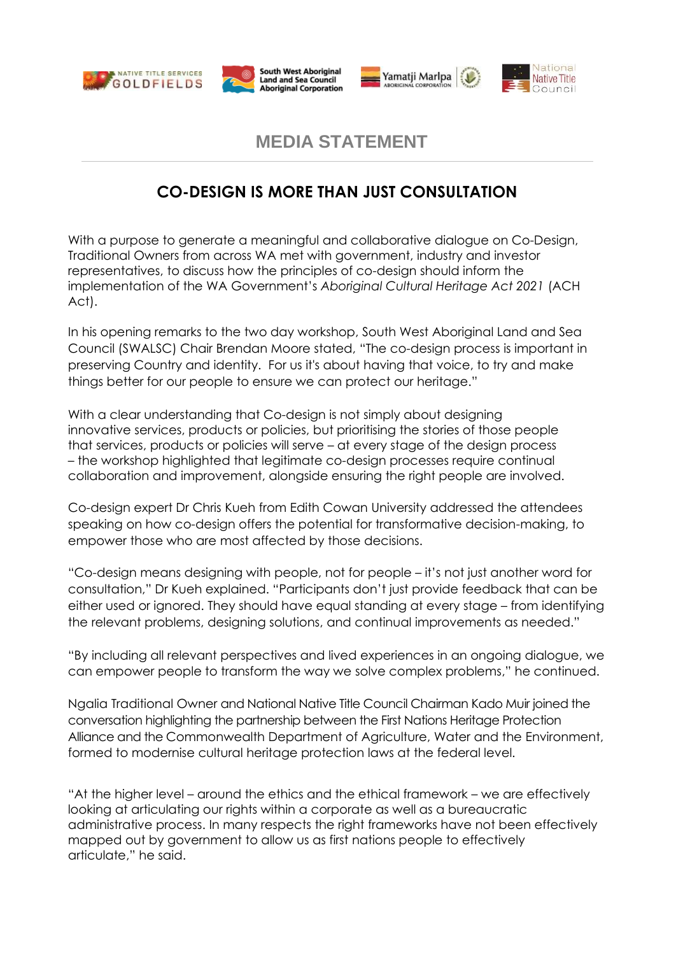







# **MEDIA STATEMENT**

## **CO-DESIGN IS MORE THAN JUST CONSULTATION**

With a purpose to generate a meaningful and collaborative dialogue on Co-Design, Traditional Owners from across WA met with government, industry and investor representatives, to discuss how the principles of co-design should inform the implementation of the WA Government's *Aboriginal Cultural Heritage Act 2021* (ACH Act).

In his opening remarks to the two day workshop, South West Aboriginal Land and Sea Council (SWALSC) Chair Brendan Moore stated, "The co-design process is important in preserving Country and identity. For us it's about having that voice, to try and make things better for our people to ensure we can protect our heritage."

With a clear understanding that Co-design is not simply about designing innovative services, products or policies, but prioritising the stories of those people that services, products or policies will serve – at every stage of the design process – the workshop highlighted that legitimate co-design processes require continual collaboration and improvement, alongside ensuring the right people are involved.

Co-design expert Dr Chris Kueh from Edith Cowan University addressed the attendees speaking on how co-design offers the potential for transformative decision-making, to empower those who are most affected by those decisions.

"Co-design means designing with people, not for people – it's not just another word for consultation," Dr Kueh explained. "Participants don't just provide feedback that can be either used or ignored. They should have equal standing at every stage – from identifying the relevant problems, designing solutions, and continual improvements as needed."

"By including all relevant perspectives and lived experiences in an ongoing dialogue, we can empower people to transform the way we solve complex problems," he continued.

Ngalia Traditional Owner and National Native Title Council Chairman Kado Muir joined the conversation highlighting the partnership between the First Nations Heritage Protection Alliance and the Commonwealth Department of Agriculture, Water and the Environment, formed to modernise cultural heritage protection laws at the federal level.

"At the higher level – around the ethics and the ethical framework – we are effectively looking at articulating our rights within a corporate as well as a bureaucratic administrative process. In many respects the right frameworks have not been effectively mapped out by government to allow us as first nations people to effectively articulate," he said.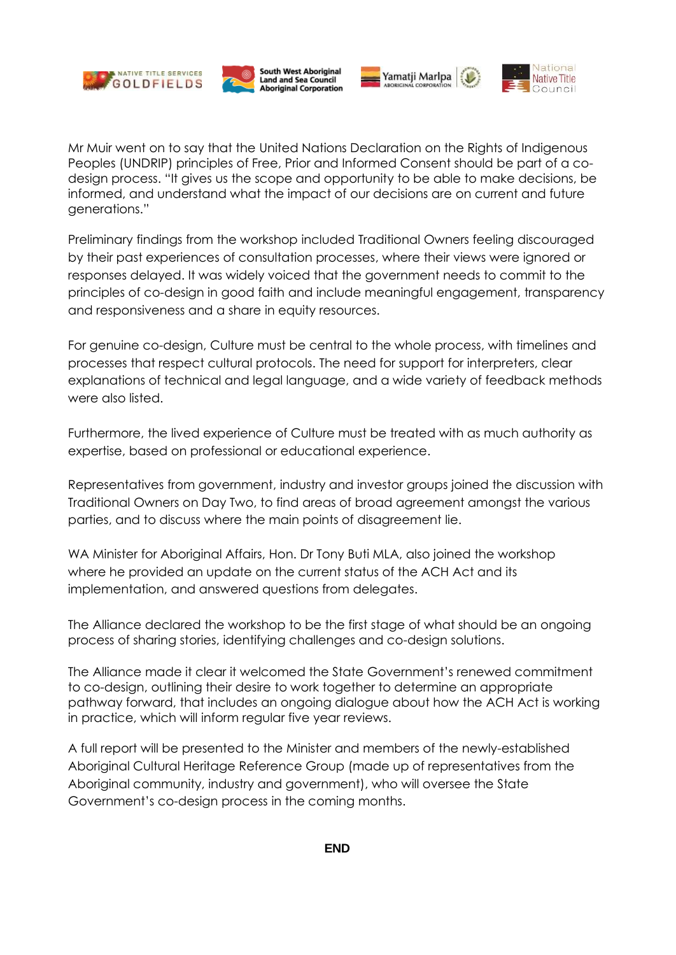







Preliminary findings from the workshop included Traditional Owners feeling discouraged by their past experiences of consultation processes, where their views were ignored or responses delayed. It was widely voiced that the government needs to commit to the principles of co-design in good faith and include meaningful engagement, transparency and responsiveness and a share in equity resources.

For genuine co-design, Culture must be central to the whole process, with timelines and processes that respect cultural protocols. The need for support for interpreters, clear explanations of technical and legal language, and a wide variety of feedback methods were also listed.

Furthermore, the lived experience of Culture must be treated with as much authority as expertise, based on professional or educational experience.

Representatives from government, industry and investor groups joined the discussion with Traditional Owners on Day Two, to find areas of broad agreement amongst the various parties, and to discuss where the main points of disagreement lie.

WA Minister for Aboriginal Affairs, Hon. Dr Tony Buti MLA, also joined the workshop where he provided an update on the current status of the ACH Act and its implementation, and answered questions from delegates.

The Alliance declared the workshop to be the first stage of what should be an ongoing process of sharing stories, identifying challenges and co-design solutions.

The Alliance made it clear it welcomed the State Government's renewed commitment to co-design, outlining their desire to work together to determine an appropriate pathway forward, that includes an ongoing dialogue about how the ACH Act is working in practice, which will inform regular five year reviews.

A full report will be presented to the Minister and members of the newly-established Aboriginal Cultural Heritage Reference Group (made up of representatives from the Aboriginal community, industry and government), who will oversee the State Government's co-design process in the coming months.